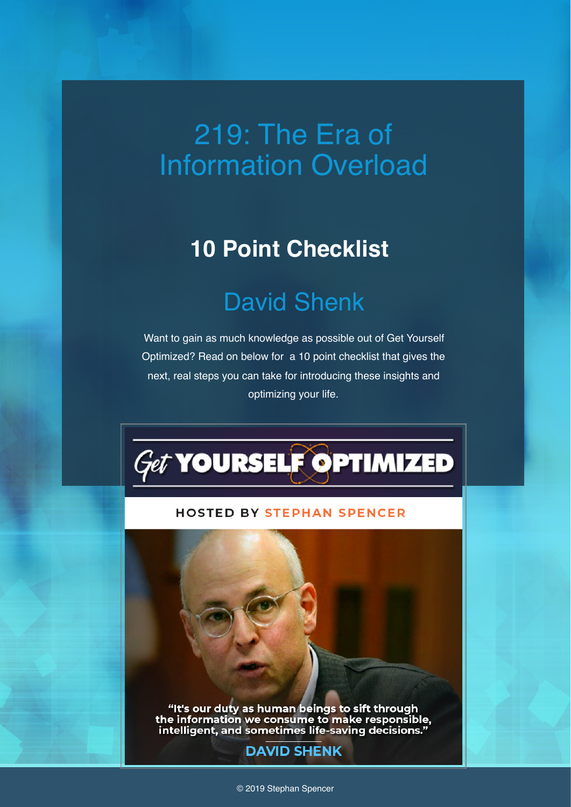# 219: The Era of Information Overload

### **10 Point Checklist**

# David Shenk

Want to gain as much knowledge as possible out of Get Yourself Optimized? Read on below for a 10 point checklist that gives the next, real steps you can take for introducing these insights and optimizing your life.



#### **HOSTED BY STEPHAN SPENCER**

"It's our duty as human beings to sift through<br>the information we consume to make responsible,<br>intelligent, and sometimes life-saving decisions."

### **DAVID SHENK**